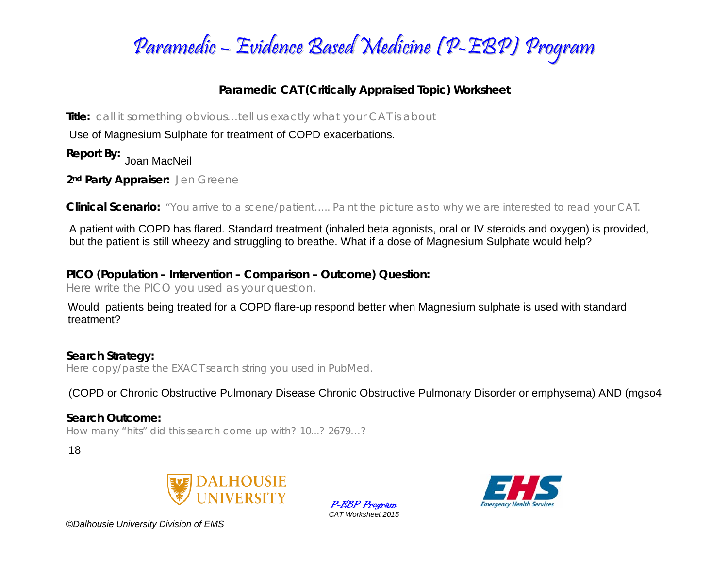

## **Paramedic CAT (Critically Appraised Topic) Worksheet**

**Title:** *call it something obvious…tell us exactly what your CAT is about* 

Use of Magnesium Sulphate for treatment of COPD exacerbations.

**Report By:** 

**2nd Party Appraiser:** *Jen Greene* 

**Clinical Scenario:** *"You arrive to a scene/patient….. Paint the picture as to why we are interested to read your CAT.*

A patient with COPD has flared. Standard treatment (inhaled beta agonists, oral or IV steroids and oxygen) is provided, but the patient is still wheezy and struggling to breathe. What if a dose of Magnesium Sulphate would help?

## **PICO (Population – Intervention – Comparison – Outcome) Question:**

*Here write the PICO you used as your question.* 

Would patients being treated for a COPD flare-up respond better when Magnesium sulphate is used with standard treatment?

**Search Strategy:**  *Here copy/paste the EXACT search string you used in PubMed.* 

(COPD or Chronic Obstructive Pulmonary Disease Chronic Obstructive Pulmonary Disorder or emphysema) AND (mgso4

**Search Outcome:** *How many "hits" did this search come up with? 10...? 2679…?* 

18



P-EBP Program *CAT Worksheet 2015* 



*©Dalhousie University Division of EMS*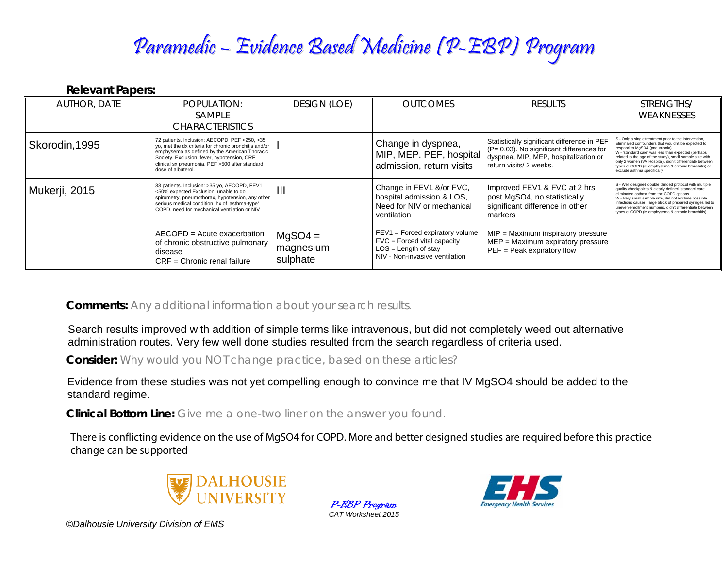## Paramedic – Evidence Based Medicine (P-EBP) Program

**Relevant Papers:** 

| <b>AUTHOR, DATE</b> | POPULATION:<br>SAMPLE<br><b>CHARACTERISTICS</b>                                                                                                                                                                                                                                   | <b>DESIGN (LOE)</b>                | <b>OUTCOMES</b>                                                                                                               | <b>RESULTS</b>                                                                                                                                                   | STRENGTHS/<br>WEAKNESSES                                                                                                                                                                                                                                                                                                                                                                                            |
|---------------------|-----------------------------------------------------------------------------------------------------------------------------------------------------------------------------------------------------------------------------------------------------------------------------------|------------------------------------|-------------------------------------------------------------------------------------------------------------------------------|------------------------------------------------------------------------------------------------------------------------------------------------------------------|---------------------------------------------------------------------------------------------------------------------------------------------------------------------------------------------------------------------------------------------------------------------------------------------------------------------------------------------------------------------------------------------------------------------|
| Skorodin, 1995      | 72 patients. Inclusion: AECOPD, PEF <250, >35<br>yo, met the dx criteria for chronic bronchitis and/or  <br>emphysema as defined by the American Thoracic<br>Society. Exclusion: fever, hypotension, CRF,<br>clinical sx pneumonia, PEF >500 after standard<br>dose of albuterol. |                                    | Change in dyspnea,<br>MIP, MEP. PEF, hospital<br>admission, return visits                                                     | Statistically significant difference in PEF<br>$(P = 0.03)$ . No significant differences for<br>dyspnea, MIP, MEP, hospitalization or<br>return visits/ 2 weeks. | S - Only a single treatment prior to the intervention,<br>Eliminated confounders that wouldn't be expected to<br>respond to MgSO4 (pneumonia)<br>W - 'standard care' was less than expected (perhaps<br>related to the age of the study), small sample size with<br>only 2 women (VA Hospital), didn't differentiate between<br>types of COPD (ie emphysema & chronic bronchitis) or<br>exclude asthma specifically |
| Mukerji, 2015       | 33 patients. Inclusion: > 35 yo, AECOPD, FEV1<br><50% expected Exclusion: unable to do<br>spirometry, pneumothorax, hypotension, any other<br>serious medical condition, hx of 'asthma-type'<br>COPD, need for mechanical ventilation or NIV                                      | $\mathbf{III}$                     | Change in FEV1 &/or FVC,<br>hospital admission & LOS,<br>Need for NIV or mechanical<br>ventilation                            | Improved FEV1 & FVC at 2 hrs<br>post MgSO4, no statistically<br>significant difference in other<br>markers                                                       | S - Well designed double blinded protocol with multiple<br>quality checkpoints & clearly defined 'standard care',<br>eliminated asthma from the COPD options<br>W - Very small sample size, did not exclude possible<br>infectious causes, large block of prepared syringes led to<br>uneven enrollment numbers, didn't differentiate between<br>types of COPD (ie emphysema & chronic bronchitis)                  |
|                     | AECOPD = Acute exacerbation<br>of chronic obstructive pulmonary<br>disease<br>$CRF =$ Chronic renal failure                                                                                                                                                                       | $MgSO4 =$<br>magnesium<br>sulphate | $FEV1 = Forced$ expiratory volume<br>$FVC = Fored$ vital capacity<br>$LOS = Length of stay$<br>NIV - Non-invasive ventilation | MIP = Maximum inspiratory pressure<br>$MEP = Maximum$ expiratory pressure<br>$PEF = Peak$ expiratory flow                                                        |                                                                                                                                                                                                                                                                                                                                                                                                                     |

**Comments:** *Any additional information about your search results.*

Search results improved with addition of simple terms like intravenous, but did not completely weed out alternative administration routes. Very few well done studies resulted from the search regardless of criteria used.

**Consider:** *Why would you NOT change practice, based on these articles?*

Evidence from these studies was not yet compelling enough to convince me that IV MgSO4 should be added to the standard regime.

**Clinical Bottom Line:** *Give me a one-two liner on the answer you found.*

There is conflicting evidence on the use of MgSO4 for COPD. More and better designed studies are required before this practicechange can be supported



P-EBP Program *CAT Worksheet 2015* 



*©Dalhousie University Division of EMS*